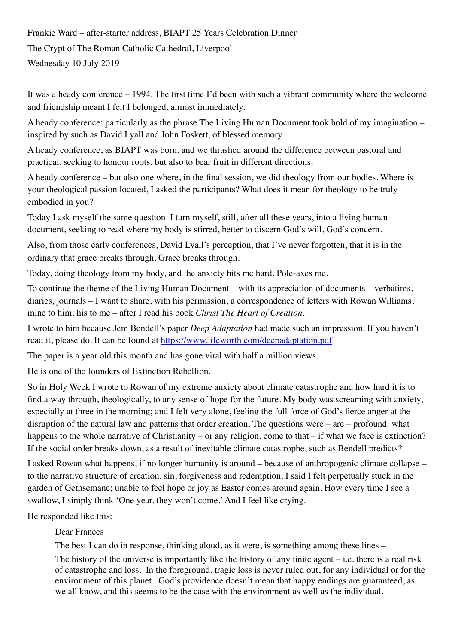Frankie Ward – after-starter address, BIAPT 25 Years Celebration Dinner The Crypt of The Roman Catholic Cathedral, Liverpool Wednesday 10 July 2019

It was a heady conference – 1994. The first time I'd been with such a vibrant community where the welcome and friendship meant I felt I belonged, almost immediately.

A heady conference: particularly as the phrase The Living Human Document took hold of my imagination – inspired by such as David Lyall and John Foskett, of blessed memory.

A heady conference, as BIAPT was born, and we thrashed around the difference between pastoral and practical, seeking to honour roots, but also to bear fruit in different directions.

A heady conference – but also one where, in the final session, we did theology from our bodies. Where is your theological passion located, I asked the participants? What does it mean for theology to be truly embodied in you?

Today I ask myself the same question. I turn myself, still, after all these years, into a living human document, seeking to read where my body is stirred, better to discern God's will, God's concern.

Also, from those early conferences, David Lyall's perception, that I've never forgotten, that it is in the ordinary that grace breaks through. Grace breaks through.

Today, doing theology from my body, and the anxiety hits me hard. Pole-axes me.

To continue the theme of the Living Human Document – with its appreciation of documents – verbatims, diaries, journals – I want to share, with his permission, a correspondence of letters with Rowan Williams, mine to him; his to me – after I read his book *Christ The Heart of Creation*.

I wrote to him because Jem Bendell's paper *Deep Adaptation* had made such an impression. If you haven't read it, please do. It can be found at<https://www.lifeworth.com/deepadaptation.pdf>

The paper is a year old this month and has gone viral with half a million views.

He is one of the founders of Extinction Rebellion.

So in Holy Week I wrote to Rowan of my extreme anxiety about climate catastrophe and how hard it is to find a way through, theologically, to any sense of hope for the future. My body was screaming with anxiety, especially at three in the morning; and I felt very alone, feeling the full force of God's fierce anger at the disruption of the natural law and patterns that order creation. The questions were – are – profound: what happens to the whole narrative of Christianity – or any religion, come to that – if what we face is extinction? If the social order breaks down, as a result of inevitable climate catastrophe, such as Bendell predicts?

I asked Rowan what happens, if no longer humanity is around – because of anthropogenic climate collapse – to the narrative structure of creation, sin, forgiveness and redemption. I said I felt perpetually stuck in the garden of Gethsemane; unable to feel hope or joy as Easter comes around again. How every time I see a swallow, I simply think 'One year, they won't come.' And I feel like crying.

He responded like this:

## Dear Frances

The best I can do in response, thinking aloud, as it were, is something among these lines –

The history of the universe is importantly like the history of any finite agent  $-$  i.e. there is a real risk of catastrophe and loss. In the foreground, tragic loss is never ruled out, for any individual or for the environment of this planet. God's providence doesn't mean that happy endings are guaranteed, as we all know, and this seems to be the case with the environment as well as the individual.